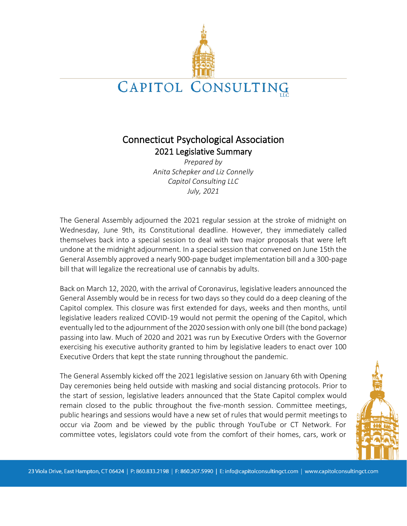

# Connecticut Psychological Association 2021 Legislative Summary

*Prepared by Anita Schepker and Liz Connelly Capitol Consulting LLC July, 2021*

The General Assembly adjourned the 2021 regular session at the stroke of midnight on Wednesday, June 9th, its Constitutional deadline. However, they immediately called themselves back into a special session to deal with two major proposals that were left undone at the midnight adjournment. In a special session that convened on June 15th the General Assembly approved a nearly 900-page budget implementation bill and a 300-page bill that will legalize the recreational use of cannabis by adults.

Back on March 12, 2020, with the arrival of Coronavirus, legislative leaders announced the General Assembly would be in recess for two days so they could do a deep cleaning of the Capitol complex. This closure was first extended for days, weeks and then months, until legislative leaders realized COVID-19 would not permit the opening of the Capitol, which eventually led to the adjournment of the 2020 session with only one bill (the bond package) passing into law. Much of 2020 and 2021 was run by Executive Orders with the Governor exercising his executive authority granted to him by legislative leaders to enact over 100 Executive Orders that kept the state running throughout the pandemic.

The General Assembly kicked off the 2021 legislative session on January 6th with Opening Day ceremonies being held outside with masking and social distancing protocols. Prior to the start of session, legislative leaders announced that the State Capitol complex would remain closed to the public throughout the five-month session. Committee meetings, public hearings and sessions would have a new set of rules that would permit meetings to occur via Zoom and be viewed by the public through YouTube or CT Network. For committee votes, legislators could vote from the comfort of their homes, cars, work or

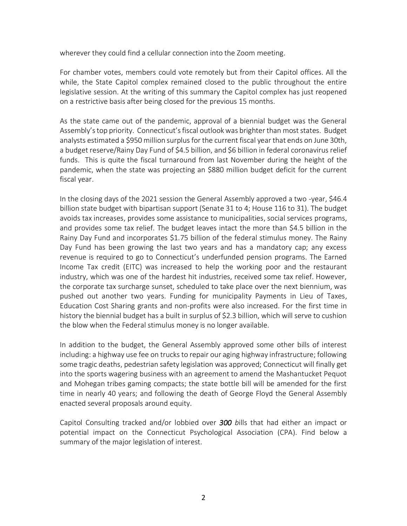wherever they could find a cellular connection into the Zoom meeting.

For chamber votes, members could vote remotely but from their Capitol offices. All the while, the State Capitol complex remained closed to the public throughout the entire legislative session. At the writing of this summary the Capitol complex has just reopened on a restrictive basis after being closed for the previous 15 months.

As the state came out of the pandemic, approval of a biennial budget was the General Assembly's top priority. Connecticut's fiscal outlook was brighter than most states. Budget analysts estimated a \$950 million surplus for the current fiscal year that ends on June 30th, a budget reserve/Rainy Day Fund of \$4.5 billion, and \$6 billion in federal coronavirus relief funds. This is quite the fiscal turnaround from last November during the height of the pandemic, when the state was projecting an \$880 million budget deficit for the current fiscal year.

In the closing days of the 2021 session the General Assembly approved a two -year, \$46.4 billion state budget with bipartisan support (Senate 31 to 4; House 116 to 31). The budget avoids tax increases, provides some assistance to municipalities, social services programs, and provides some tax relief. The budget leaves intact the more than \$4.5 billion in the Rainy Day Fund and incorporates \$1.75 billion of the federal stimulus money. The Rainy Day Fund has been growing the last two years and has a mandatory cap; any excess revenue is required to go to Connecticut's underfunded pension programs. The Earned Income Tax credit (EITC) was increased to help the working poor and the restaurant industry, which was one of the hardest hit industries, received some tax relief. However, the corporate tax surcharge sunset, scheduled to take place over the next biennium, was pushed out another two years. Funding for municipality Payments in Lieu of Taxes, Education Cost Sharing grants and non-profits were also increased. For the first time in history the biennial budget has a built in surplus of \$2.3 billion, which will serve to cushion the blow when the Federal stimulus money is no longer available.

In addition to the budget, the General Assembly approved some other bills of interest including: a highway use fee on trucks to repair our aging highway infrastructure; following some tragic deaths, pedestrian safety legislation was approved; Connecticut will finally get into the sports wagering business with an agreement to amend the Mashantucket Pequot and Mohegan tribes gaming compacts; the state bottle bill will be amended for the first time in nearly 40 years; and following the death of George Floyd the General Assembly enacted several proposals around equity.

Capitol Consulting tracked and/or lobbied over *300 b*ills that had either an impact or potential impact on the Connecticut Psychological Association (CPA). Find below a summary of the major legislation of interest.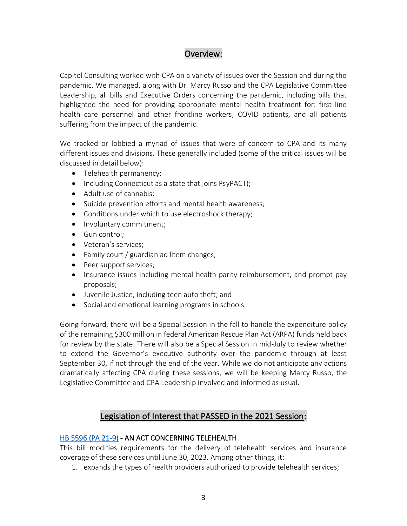## Overview:

Capitol Consulting worked with CPA on a variety of issues over the Session and during the pandemic. We managed, along with Dr. Marcy Russo and the CPA Legislative Committee Leadership, all bills and Executive Orders concerning the pandemic, including bills that highlighted the need for providing appropriate mental health treatment for: first line health care personnel and other frontline workers, COVID patients, and all patients suffering from the impact of the pandemic.

We tracked or lobbied a myriad of issues that were of concern to CPA and its many different issues and divisions. These generally included (some of the critical issues will be discussed in detail below):

- Telehealth permanency;
- Including Connecticut as a state that joins PsyPACT);
- Adult use of cannabis;
- Suicide prevention efforts and mental health awareness;
- Conditions under which to use electroshock therapy;
- Involuntary commitment;
- Gun control;
- Veteran's services;
- Family court / guardian ad litem changes;
- Peer support services;
- Insurance issues including mental health parity reimbursement, and prompt pay proposals;
- Juvenile Justice, including teen auto theft; and
- Social and emotional learning programs in schools.

Going forward, there will be a Special Session in the fall to handle the expenditure policy of the remaining \$300 million in federal American Rescue Plan Act (ARPA) funds held back for review by the state. There will also be a Special Session in mid-July to review whether to extend the Governor's executive authority over the pandemic through at least September 30, if not through the end of the year. While we do not anticipate any actions dramatically affecting CPA during these sessions, we will be keeping Marcy Russo, the Legislative Committee and CPA Leadership involved and informed as usual.

## Legislation of Interest that PASSED in the 2021 Session:

#### [HB 5596 \(PA 21-9\)](https://cga.ct.gov/2021/ACT/PA/PDF/2021PA-00009-R00HB-05596-PA.PDF) - AN ACT CONCERNING TELEHEALTH

This bill modifies requirements for the delivery of telehealth services and insurance coverage of these services until June 30, 2023. Among other things, it:

1. expands the types of health providers authorized to provide telehealth services;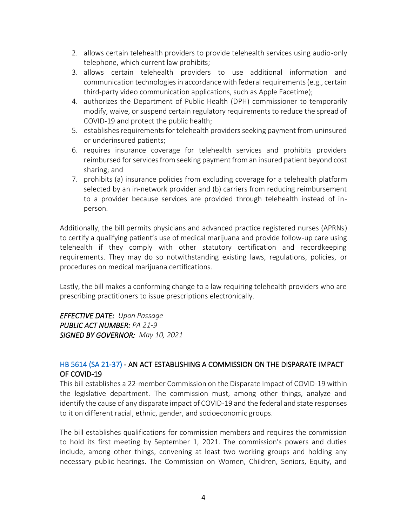- 2. allows certain telehealth providers to provide telehealth services using audio-only telephone, which current law prohibits;
- 3. allows certain telehealth providers to use additional information and communication technologies in accordance with federal requirements (e.g., certain third-party video communication applications, such as Apple Facetime);
- 4. authorizes the Department of Public Health (DPH) commissioner to temporarily modify, waive, or suspend certain regulatory requirements to reduce the spread of COVID-19 and protect the public health;
- 5. establishes requirements for telehealth providers seeking payment from uninsured or underinsured patients;
- 6. requires insurance coverage for telehealth services and prohibits providers reimbursed for services from seeking payment from an insured patient beyond cost sharing; and
- 7. prohibits (a) insurance policies from excluding coverage for a telehealth platform selected by an in-network provider and (b) carriers from reducing reimbursement to a provider because services are provided through telehealth instead of inperson.

Additionally, the bill permits physicians and advanced practice registered nurses (APRNs) to certify a qualifying patient's use of medical marijuana and provide follow-up care using telehealth if they comply with other statutory certification and recordkeeping requirements. They may do so notwithstanding existing laws, regulations, policies, or procedures on medical marijuana certifications.

Lastly, the bill makes a conforming change to a law requiring telehealth providers who are prescribing practitioners to issue prescriptions electronically.

*EFFECTIVE DATE: Upon Passage PUBLIC ACT NUMBER: PA 21-9 SIGNED BY GOVERNOR: May 10, 2021*

## [HB 5614 \(SA 21-37\)](https://cga.ct.gov/2021/ACT/SA/PDF/2021SA-00037-R00HB-05614-SA.PDF) - AN ACT ESTABLISHING A COMMISSION ON THE DISPARATE IMPACT OF COVID-19

This bill establishes a 22-member Commission on the Disparate Impact of COVID-19 within the legislative department. The commission must, among other things, analyze and identify the cause of any disparate impact of COVID-19 and the federal and state responses to it on different racial, ethnic, gender, and socioeconomic groups.

The bill establishes qualifications for commission members and requires the commission to hold its first meeting by September 1, 2021. The commission's powers and duties include, among other things, convening at least two working groups and holding any necessary public hearings. The Commission on Women, Children, Seniors, Equity, and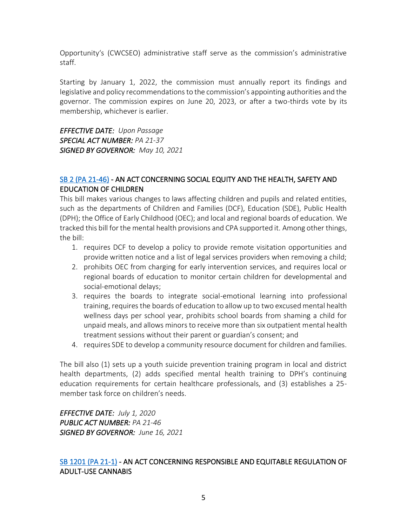Opportunity's (CWCSEO) administrative staff serve as the commission's administrative staff.

Starting by January 1, 2022, the commission must annually report its findings and legislative and policy recommendations to the commission's appointing authorities and the governor. The commission expires on June 20, 2023, or after a two-thirds vote by its membership, whichever is earlier.

*EFFECTIVE DATE: Upon Passage SPECIAL ACT NUMBER: PA 21-37 SIGNED BY GOVERNOR: May 10, 2021*

#### [SB 2 \(PA 21-46\)](https://cga.ct.gov/2021/ACT/PA/PDF/2021PA-00046-R00SB-00002-PA.PDF) - AN ACT CONCERNING SOCIAL EQUITY AND THE HEALTH, SAFETY AND EDUCATION OF CHILDREN

This bill makes various changes to laws affecting children and pupils and related entities, such as the departments of Children and Families (DCF), Education (SDE), Public Health (DPH); the Office of Early Childhood (OEC); and local and regional boards of education. We tracked this bill for the mental health provisions and CPA supported it. Among other things, the bill:

- 1. requires DCF to develop a policy to provide remote visitation opportunities and provide written notice and a list of legal services providers when removing a child;
- 2. prohibits OEC from charging for early intervention services, and requires local or regional boards of education to monitor certain children for developmental and social-emotional delays;
- 3. requires the boards to integrate social-emotional learning into professional training, requires the boards of education to allow up to two excused mental health wellness days per school year, prohibits school boards from shaming a child for unpaid meals, and allows minors to receive more than six outpatient mental health treatment sessions without their parent or guardian's consent; and
- 4. requires SDE to develop a community resource document for children and families.

The bill also (1) sets up a youth suicide prevention training program in local and district health departments, (2) adds specified mental health training to DPH's continuing education requirements for certain healthcare professionals, and (3) establishes a 25 member task force on children's needs.

*EFFECTIVE DATE: July 1, 2020 PUBLIC ACT NUMBER: PA 21-46 SIGNED BY GOVERNOR: June 16, 2021*

#### [SB 1201 \(PA 21-1\)](https://cga.ct.gov/2021/ACT/PA/PDF/2021PA-00001-R00SB-01201SS1-PA.PDF) - AN ACT CONCERNING RESPONSIBLE AND EQUITABLE REGULATION OF ADULT-USE CANNABIS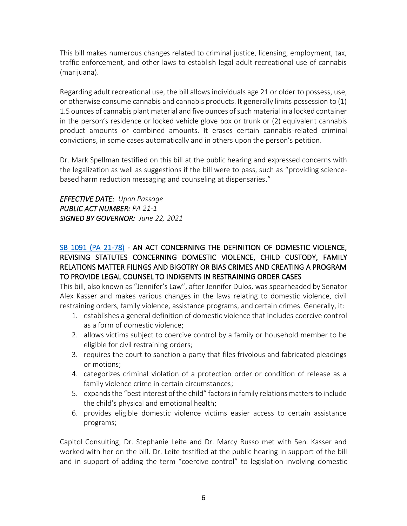This bill makes numerous changes related to criminal justice, licensing, employment, tax, traffic enforcement, and other laws to establish legal adult recreational use of cannabis (marijuana).

Regarding adult recreational use, the bill allows individuals age 21 or older to possess, use, or otherwise consume cannabis and cannabis products. It generally limits possession to (1) 1.5 ounces of cannabis plant material and five ounces of such material in a locked container in the person's residence or locked vehicle glove box or trunk or (2) equivalent cannabis product amounts or combined amounts. It erases certain cannabis-related criminal convictions, in some cases automatically and in others upon the person's petition.

Dr. Mark Spellman testified on this bill at the public hearing and expressed concerns with the legalization as well as suggestions if the bill were to pass, such as "providing sciencebased harm reduction messaging and counseling at dispensaries."

*EFFECTIVE DATE: Upon Passage PUBLIC ACT NUMBER: PA 21-1 SIGNED BY GOVERNOR: June 22, 2021*

### [SB 1091 \(PA 21-78\)](https://cga.ct.gov/2021/ACT/PA/PDF/2021PA-00078-R00SB-01091-PA.PDF) - AN ACT CONCERNING THE DEFINITION OF DOMESTIC VIOLENCE, REVISING STATUTES CONCERNING DOMESTIC VIOLENCE, CHILD CUSTODY, FAMILY RELATIONS MATTER FILINGS AND BIGOTRY OR BIAS CRIMES AND CREATING A PROGRAM TO PROVIDE LEGAL COUNSEL TO INDIGENTS IN RESTRAINING ORDER CASES

This bill, also known as "Jennifer's Law", after Jennifer Dulos, was spearheaded by Senator Alex Kasser and makes various changes in the laws relating to domestic violence, civil restraining orders, family violence, assistance programs, and certain crimes. Generally, it:

- 1. establishes a general definition of domestic violence that includes coercive control as a form of domestic violence;
- 2. allows victims subject to coercive control by a family or household member to be eligible for civil restraining orders;
- 3. requires the court to sanction a party that files frivolous and fabricated pleadings or motions;
- 4. categorizes criminal violation of a protection order or condition of release as a family violence crime in certain circumstances;
- 5. expands the "best interest of the child" factors in family relations matters to include the child's physical and emotional health;
- 6. provides eligible domestic violence victims easier access to certain assistance programs;

Capitol Consulting, Dr. Stephanie Leite and Dr. Marcy Russo met with Sen. Kasser and worked with her on the bill. Dr. Leite testified at the public hearing in support of the bill and in support of adding the term "coercive control" to legislation involving domestic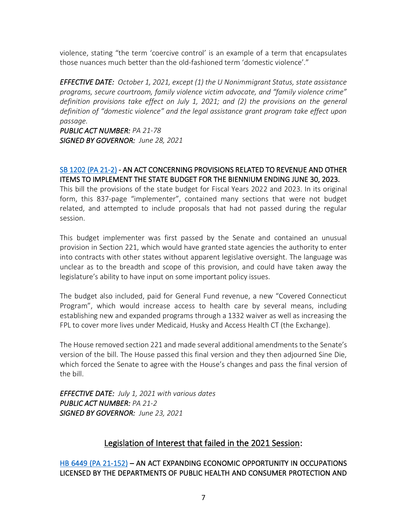violence, stating "the term 'coercive control' is an example of a term that encapsulates those nuances much better than the old-fashioned term 'domestic violence'."

*EFFECTIVE DATE: October 1, 2021, except (1) the U Nonimmigrant Status, state assistance programs, secure courtroom, family violence victim advocate, and "family violence crime" definition provisions take effect on July 1, 2021; and (2) the provisions on the general definition of "domestic violence" and the legal assistance grant program take effect upon passage.* 

*PUBLIC ACT NUMBER: PA 21-78 SIGNED BY GOVERNOR: June 28, 2021*

## [SB 1202 \(PA 21-2\)](https://cga.ct.gov/2021/ACT/PA/PDF/2021PA-00002-R00SB-01202SS1-PA.PDF) - AN ACT CONCERNING PROVISIONS RELATED TO REVENUE AND OTHER ITEMS TO IMPLEMENT THE STATE BUDGET FOR THE BIENNIUM ENDING JUNE 30, 2023.

This bill the provisions of the state budget for Fiscal Years 2022 and 2023. In its original form, this 837-page "implementer", contained many sections that were not budget related, and attempted to include proposals that had not passed during the regular session.

This budget implementer was first passed by the Senate and contained an unusual provision in Section 221, which would have granted state agencies the authority to enter into contracts with other states without apparent legislative oversight. The language was unclear as to the breadth and scope of this provision, and could have taken away the legislature's ability to have input on some important policy issues.

The budget also included, paid for General Fund revenue, a new "Covered Connecticut Program", which would increase access to health care by several means, including establishing new and expanded programs through a 1332 waiver as well as increasing the FPL to cover more lives under Medicaid, Husky and Access Health CT (the Exchange).

The House removed section 221 and made several additional amendments to the Senate's version of the bill. The House passed this final version and they then adjourned Sine Die, which forced the Senate to agree with the House's changes and pass the final version of the bill.

*EFFECTIVE DATE: July 1, 2021 with various dates PUBLIC ACT NUMBER: PA 21-2 SIGNED BY GOVERNOR: June 23, 2021*

# Legislation of Interest that failed in the 2021 Session:

## [HB 6449 \(PA 21-152\)](https://www.cga.ct.gov/2021/ACT/PA/PDF/2021PA-00152-R00HB-06449-PA.PDF) – AN ACT EXPANDING ECONOMIC OPPORTUNITY IN OCCUPATIONS LICENSED BY THE DEPARTMENTS OF PUBLIC HEALTH AND CONSUMER PROTECTION AND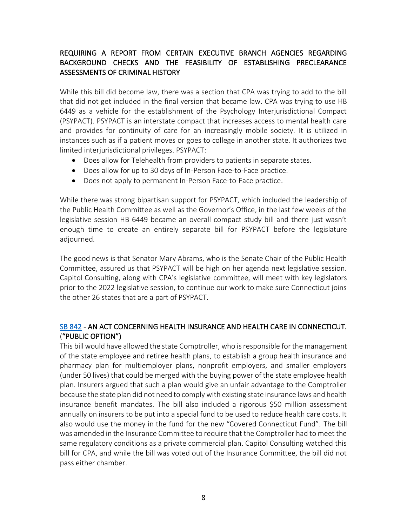## REQUIRING A REPORT FROM CERTAIN EXECUTIVE BRANCH AGENCIES REGARDING BACKGROUND CHECKS AND THE FEASIBILITY OF ESTABLISHING PRECLEARANCE ASSESSMENTS OF CRIMINAL HISTORY

While this bill did become law, there was a section that CPA was trying to add to the bill that did not get included in the final version that became law. CPA was trying to use HB 6449 as a vehicle for the establishment of the Psychology Interjurisdictional Compact (PSYPACT). PSYPACT is an interstate compact that increases access to mental health care and provides for continuity of care for an increasingly mobile society. It is utilized in instances such as if a patient moves or goes to college in another state. It authorizes two limited interjurisdictional privileges. PSYPACT:

- Does allow for Telehealth from providers to patients in separate states.
- Does allow for up to 30 days of In-Person Face-to-Face practice.
- Does not apply to permanent In-Person Face-to-Face practice.

While there was strong bipartisan support for PSYPACT, which included the leadership of the Public Health Committee as well as the Governor's Office, in the last few weeks of the legislative session HB 6449 became an overall compact study bill and there just wasn't enough time to create an entirely separate bill for PSYPACT before the legislature adjourned.

The good news is that Senator Mary Abrams, who is the Senate Chair of the Public Health Committee, assured us that PSYPACT will be high on her agenda next legislative session. Capitol Consulting, along with CPA's legislative committee, will meet with key legislators prior to the 2022 legislative session, to continue our work to make sure Connecticut joins the other 26 states that are a part of PSYPACT.

#### [SB 842](https://www.cga.ct.gov/2021/FC/PDF/2021SB-00842-R000640-FC.PDF) - AN ACT CONCERNING HEALTH INSURANCE AND HEALTH CARE IN CONNECTICUT. ("PUBLIC OPTION")

This bill would have allowed the state Comptroller, who is responsible for the management of the state employee and retiree health plans, to establish a group health insurance and pharmacy plan for multiemployer plans, nonprofit employers, and smaller employers (under 50 lives) that could be merged with the buying power of the state employee health plan. Insurers argued that such a plan would give an unfair advantage to the Comptroller because the state plan did not need to comply with existing state insurance laws and health insurance benefit mandates. The bill also included a rigorous \$50 million assessment annually on insurers to be put into a special fund to be used to reduce health care costs. It also would use the money in the fund for the new "Covered Connecticut Fund". The bill was amended in the Insurance Committee to require that the Comptroller had to meet the same regulatory conditions as a private commercial plan. Capitol Consulting watched this bill for CPA, and while the bill was voted out of the Insurance Committee, the bill did not pass either chamber.